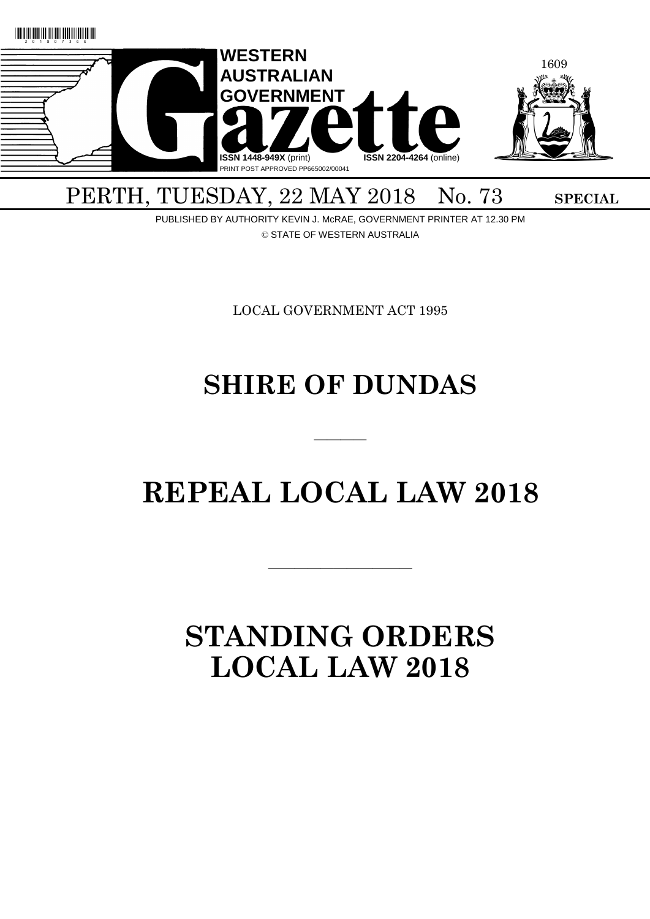

# PERTH, TUESDAY, 22 MAY 2018 No. 73 SPECIAL

PUBLISHED BY AUTHORITY KEVIN J. McRAE, GOVERNMENT PRINTER AT 12.30 PM © STATE OF WESTERN AUSTRALIA

LOCAL GOVERNMENT ACT 1995

# **SHIRE OF DUNDAS**

# **REPEAL LOCAL LAW 2018**

 $\overline{\phantom{a}}$  , and the contract of the contract of the contract of the contract of the contract of the contract of the contract of the contract of the contract of the contract of the contract of the contract of the contrac

————

# **STANDING ORDERS LOCAL LAW 2018**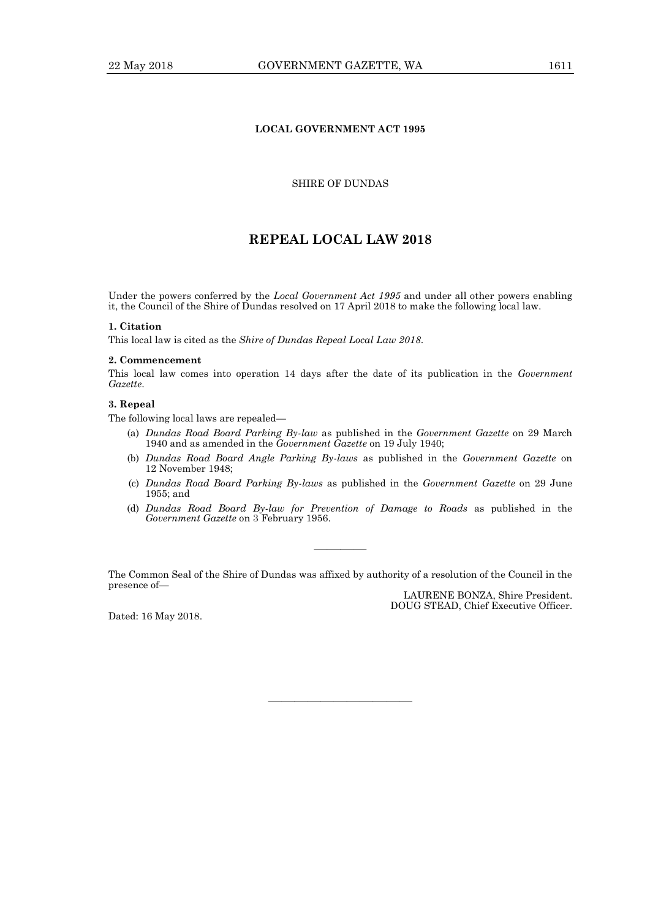# **LOCAL GOVERNMENT ACT 1995**

# SHIRE OF DUNDAS

# **REPEAL LOCAL LAW 2018**

Under the powers conferred by the *Local Government Act 1995* and under all other powers enabling it, the Council of the Shire of Dundas resolved on 17 April 2018 to make the following local law.

# **1. Citation**

This local law is cited as the *Shire of Dundas Repeal Local Law 2018*.

#### **2. Commencement**

This local law comes into operation 14 days after the date of its publication in the *Government Gazette*.

# **3. Repeal**

The following local laws are repealed—

- (a) *Dundas Road Board Parking By-law* as published in the *Government Gazette* on 29 March 1940 and as amended in the *Government Gazette* on 19 July 1940;
- (b) *Dundas Road Board Angle Parking By-laws* as published in the *Government Gazette* on 12 November 1948;
- (c) *Dundas Road Board Parking By-laws* as published in the *Government Gazette* on 29 June 1955; and
- (d) *Dundas Road Board By-law for Prevention of Damage to Roads* as published in the *Government Gazette* on 3 February 1956.

The Common Seal of the Shire of Dundas was affixed by authority of a resolution of the Council in the presence of—

———————————

————

Dated: 16 May 2018.

LAURENE BONZA, Shire President. DOUG STEAD, Chief Executive Officer.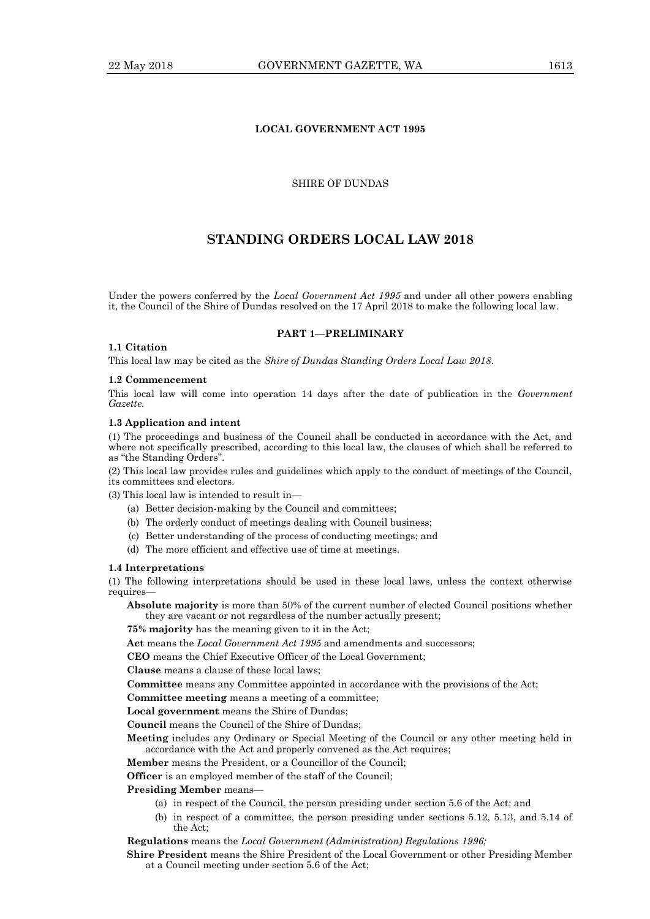# **LOCAL GOVERNMENT ACT 1995**

SHIRE OF DUNDAS

# **STANDING ORDERS LOCAL LAW 2018**

Under the powers conferred by the *Local Government Act 1995* and under all other powers enabling it, the Council of the Shire of Dundas resolved on the 17 April 2018 to make the following local law.

## **PART 1—PRELIMINARY**

# **1.1 Citation**

This local law may be cited as the *Shire of Dundas Standing Orders Local Law 2018*.

## **1.2 Commencement**

This local law will come into operation 14 days after the date of publication in the *Government Gazette.*

## **1.3 Application and intent**

(1) The proceedings and business of the Council shall be conducted in accordance with the Act, and where not specifically prescribed, according to this local law, the clauses of which shall be referred to as "the Standing Orders".

(2) This local law provides rules and guidelines which apply to the conduct of meetings of the Council, its committees and electors.

(3) This local law is intended to result in—

- (a) Better decision-making by the Council and committees;
- (b) The orderly conduct of meetings dealing with Council business;
- (c) Better understanding of the process of conducting meetings; and
- (d) The more efficient and effective use of time at meetings.

## **1.4 Interpretations**

(1) The following interpretations should be used in these local laws, unless the context otherwise requires—

**Absolute majority** is more than 50% of the current number of elected Council positions whether they are vacant or not regardless of the number actually present;

**75% majority** has the meaning given to it in the Act;

**Act** means the *Local Government Act 1995* and amendments and successors;

**CEO** means the Chief Executive Officer of the Local Government;

**Clause** means a clause of these local laws;

**Committee** means any Committee appointed in accordance with the provisions of the Act;

**Committee meeting** means a meeting of a committee;

**Local government** means the Shire of Dundas;

**Council** means the Council of the Shire of Dundas;

**Meeting** includes any Ordinary or Special Meeting of the Council or any other meeting held in accordance with the Act and properly convened as the Act requires;

**Member** means the President, or a Councillor of the Council;

**Officer** is an employed member of the staff of the Council;

**Presiding Member** means—

- (a) in respect of the Council, the person presiding under section 5.6 of the Act; and
- (b) in respect of a committee, the person presiding under sections 5.12, 5.13, and 5.14 of the Act;

# **Regulations** means the *Local Government (Administration) Regulations 1996;*

**Shire President** means the Shire President of the Local Government or other Presiding Member at a Council meeting under section 5.6 of the Act;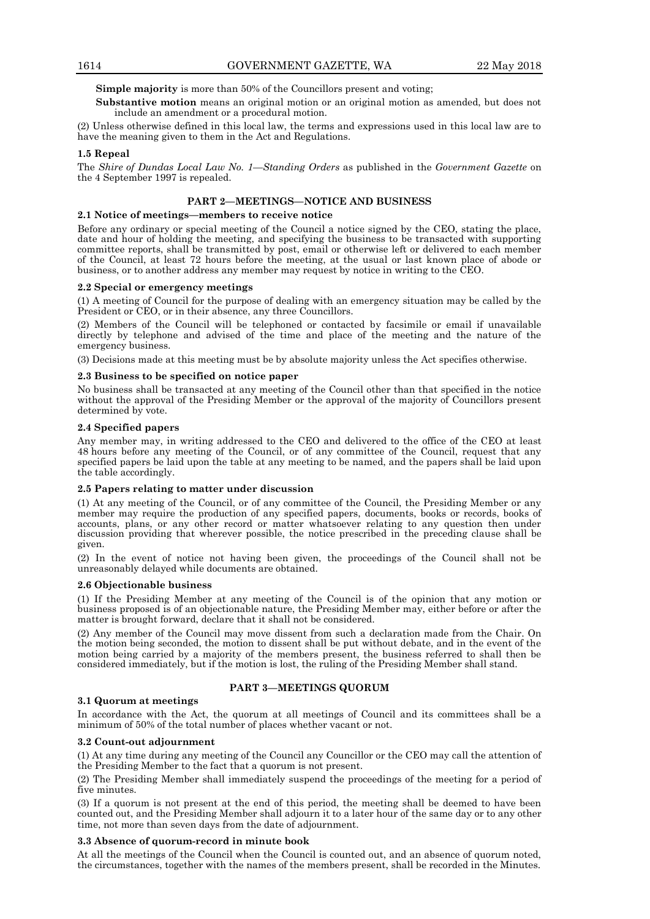**Simple majority** is more than 50% of the Councillors present and voting;

**Substantive motion** means an original motion or an original motion as amended, but does not include an amendment or a procedural motion.

(2) Unless otherwise defined in this local law, the terms and expressions used in this local law are to have the meaning given to them in the Act and Regulations.

### **1.5 Repeal**

The *Shire of Dundas Local Law No. 1—Standing Orders* as published in the *Government Gazette* on the 4 September 1997 is repealed.

# **PART 2—MEETINGS—NOTICE AND BUSINESS**

# **2.1 Notice of meetings—members to receive notice**

Before any ordinary or special meeting of the Council a notice signed by the CEO, stating the place, date and hour of holding the meeting, and specifying the business to be transacted with supporting committee reports, shall be transmitted by post, email or otherwise left or delivered to each member of the Council, at least 72 hours before the meeting, at the usual or last known place of abode or business, or to another address any member may request by notice in writing to the CEO.

#### **2.2 Special or emergency meetings**

(1) A meeting of Council for the purpose of dealing with an emergency situation may be called by the President or CEO, or in their absence, any three Councillors.

(2) Members of the Council will be telephoned or contacted by facsimile or email if unavailable directly by telephone and advised of the time and place of the meeting and the nature of the emergency business.

(3) Decisions made at this meeting must be by absolute majority unless the Act specifies otherwise.

## **2.3 Business to be specified on notice paper**

No business shall be transacted at any meeting of the Council other than that specified in the notice without the approval of the Presiding Member or the approval of the majority of Councillors present determined by vote.

# **2.4 Specified papers**

Any member may, in writing addressed to the CEO and delivered to the office of the CEO at least 48 hours before any meeting of the Council, or of any committee of the Council, request that any specified papers be laid upon the table at any meeting to be named, and the papers shall be laid upon the table accordingly.

## **2.5 Papers relating to matter under discussion**

(1) At any meeting of the Council, or of any committee of the Council, the Presiding Member or any member may require the production of any specified papers, documents, books or records, books of accounts, plans, or any other record or matter whatsoever relating to any question then under discussion providing that wherever possible, the notice prescribed in the preceding clause shall be given.

(2) In the event of notice not having been given, the proceedings of the Council shall not be unreasonably delayed while documents are obtained.

## **2.6 Objectionable business**

(1) If the Presiding Member at any meeting of the Council is of the opinion that any motion or business proposed is of an objectionable nature, the Presiding Member may, either before or after the matter is brought forward, declare that it shall not be considered.

(2) Any member of the Council may move dissent from such a declaration made from the Chair. On the motion being seconded, the motion to dissent shall be put without debate, and in the event of the motion being carried by a majority of the members present, the business referred to shall then be considered immediately, but if the motion is lost, the ruling of the Presiding Member shall stand.

# **PART 3—MEETINGS QUORUM**

## **3.1 Quorum at meetings**

In accordance with the Act, the quorum at all meetings of Council and its committees shall be a minimum of 50% of the total number of places whether vacant or not.

#### **3.2 Count-out adjournment**

(1) At any time during any meeting of the Council any Councillor or the CEO may call the attention of the Presiding Member to the fact that a quorum is not present.

(2) The Presiding Member shall immediately suspend the proceedings of the meeting for a period of five minutes.

(3) If a quorum is not present at the end of this period, the meeting shall be deemed to have been counted out, and the Presiding Member shall adjourn it to a later hour of the same day or to any other time, not more than seven days from the date of adjournment.

# **3.3 Absence of quorum-record in minute book**

At all the meetings of the Council when the Council is counted out, and an absence of quorum noted, the circumstances, together with the names of the members present, shall be recorded in the Minutes.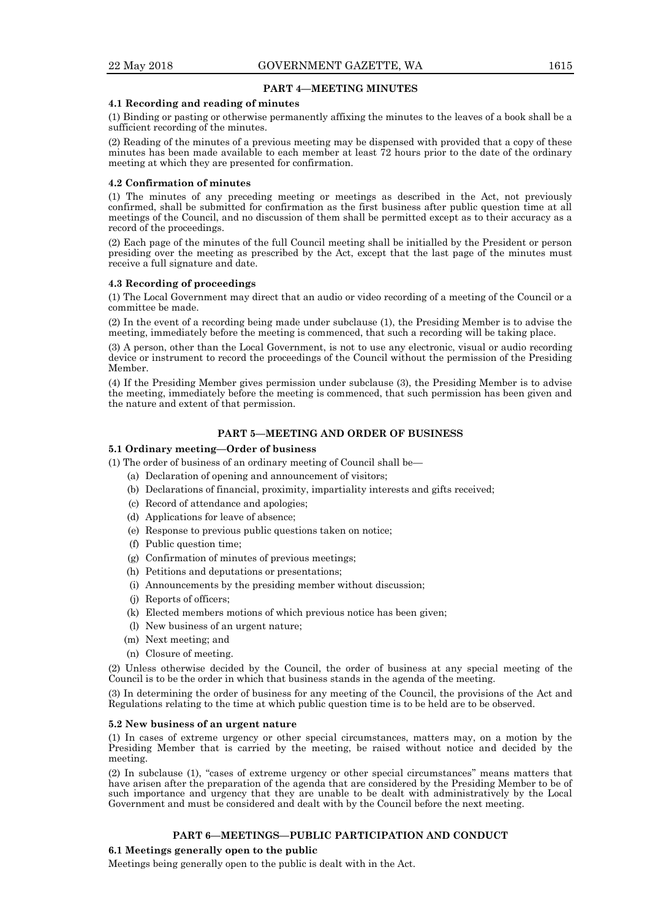## **PART 4—MEETING MINUTES**

### **4.1 Recording and reading of minutes**

(1) Binding or pasting or otherwise permanently affixing the minutes to the leaves of a book shall be a sufficient recording of the minutes.

(2) Reading of the minutes of a previous meeting may be dispensed with provided that a copy of these minutes has been made available to each member at least 72 hours prior to the date of the ordinary meeting at which they are presented for confirmation.

### **4.2 Confirmation of minutes**

(1) The minutes of any preceding meeting or meetings as described in the Act, not previously confirmed, shall be submitted for confirmation as the first business after public question time at all meetings of the Council, and no discussion of them shall be permitted except as to their accuracy as a record of the proceedings.

(2) Each page of the minutes of the full Council meeting shall be initialled by the President or person presiding over the meeting as prescribed by the Act, except that the last page of the minutes must receive a full signature and date.

## **4.3 Recording of proceedings**

(1) The Local Government may direct that an audio or video recording of a meeting of the Council or a committee be made.

(2) In the event of a recording being made under subclause (1), the Presiding Member is to advise the meeting, immediately before the meeting is commenced, that such a recording will be taking place.

(3) A person, other than the Local Government, is not to use any electronic, visual or audio recording device or instrument to record the proceedings of the Council without the permission of the Presiding Member.

(4) If the Presiding Member gives permission under subclause (3), the Presiding Member is to advise the meeting, immediately before the meeting is commenced, that such permission has been given and the nature and extent of that permission.

## **PART 5—MEETING AND ORDER OF BUSINESS**

## **5.1 Ordinary meeting—Order of business**

(1) The order of business of an ordinary meeting of Council shall be—

- (a) Declaration of opening and announcement of visitors;
- (b) Declarations of financial, proximity, impartiality interests and gifts received;
- (c) Record of attendance and apologies;
- (d) Applications for leave of absence;
- (e) Response to previous public questions taken on notice;
- (f) Public question time;
- (g) Confirmation of minutes of previous meetings;
- (h) Petitions and deputations or presentations;
- (i) Announcements by the presiding member without discussion;
- (j) Reports of officers;
- (k) Elected members motions of which previous notice has been given;
- (l) New business of an urgent nature;
- (m) Next meeting; and
- (n) Closure of meeting.

(2) Unless otherwise decided by the Council, the order of business at any special meeting of the Council is to be the order in which that business stands in the agenda of the meeting.

(3) In determining the order of business for any meeting of the Council, the provisions of the Act and Regulations relating to the time at which public question time is to be held are to be observed.

#### **5.2 New business of an urgent nature**

(1) In cases of extreme urgency or other special circumstances, matters may, on a motion by the Presiding Member that is carried by the meeting, be raised without notice and decided by the meeting.

(2) In subclause (1), "cases of extreme urgency or other special circumstances" means matters that have arisen after the preparation of the agenda that are considered by the Presiding Member to be of such importance and urgency that they are unable to be dealt with administratively by the Local Government and must be considered and dealt with by the Council before the next meeting.

# **PART 6—MEETINGS—PUBLIC PARTICIPATION AND CONDUCT**

#### **6.1 Meetings generally open to the public**

Meetings being generally open to the public is dealt with in the Act.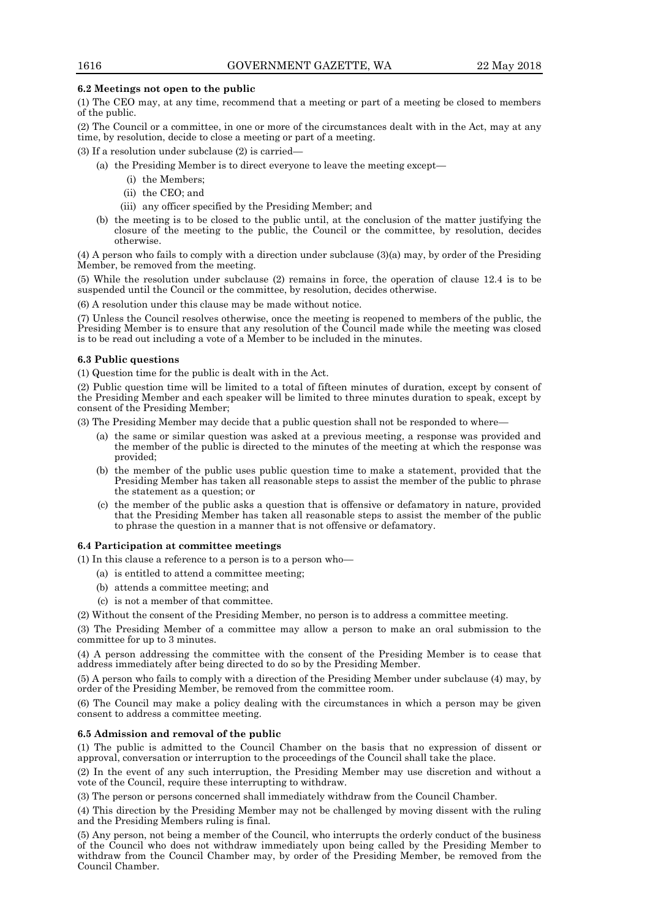# **6.2 Meetings not open to the public**

(1) The CEO may, at any time, recommend that a meeting or part of a meeting be closed to members of the public.

(2) The Council or a committee, in one or more of the circumstances dealt with in the Act, may at any time, by resolution, decide to close a meeting or part of a meeting.

(3) If a resolution under subclause (2) is carried—

- (a) the Presiding Member is to direct everyone to leave the meeting except—
	- (i) the Members;
	- (ii) the CEO; and
	- (iii) any officer specified by the Presiding Member; and
- (b) the meeting is to be closed to the public until, at the conclusion of the matter justifying the closure of the meeting to the public, the Council or the committee, by resolution, decides otherwise.

(4) A person who fails to comply with a direction under subclause (3)(a) may, by order of the Presiding Member, be removed from the meeting.

(5) While the resolution under subclause (2) remains in force, the operation of clause 12.4 is to be suspended until the Council or the committee, by resolution, decides otherwise.

(6) A resolution under this clause may be made without notice.

(7) Unless the Council resolves otherwise, once the meeting is reopened to members of the public, the Presiding Member is to ensure that any resolution of the Council made while the meeting was closed is to be read out including a vote of a Member to be included in the minutes.

# **6.3 Public questions**

(1) Question time for the public is dealt with in the Act.

(2) Public question time will be limited to a total of fifteen minutes of duration, except by consent of the Presiding Member and each speaker will be limited to three minutes duration to speak, except by consent of the Presiding Member;

(3) The Presiding Member may decide that a public question shall not be responded to where—

- (a) the same or similar question was asked at a previous meeting, a response was provided and the member of the public is directed to the minutes of the meeting at which the response was provided;
- (b) the member of the public uses public question time to make a statement, provided that the Presiding Member has taken all reasonable steps to assist the member of the public to phrase the statement as a question; or
- (c) the member of the public asks a question that is offensive or defamatory in nature, provided that the Presiding Member has taken all reasonable steps to assist the member of the public to phrase the question in a manner that is not offensive or defamatory.

## **6.4 Participation at committee meetings**

(1) In this clause a reference to a person is to a person who—

- (a) is entitled to attend a committee meeting;
- (b) attends a committee meeting; and
- (c) is not a member of that committee.

(2) Without the consent of the Presiding Member, no person is to address a committee meeting.

(3) The Presiding Member of a committee may allow a person to make an oral submission to the committee for up to 3 minutes.

(4) A person addressing the committee with the consent of the Presiding Member is to cease that address immediately after being directed to do so by the Presiding Member.

(5) A person who fails to comply with a direction of the Presiding Member under subclause (4) may, by order of the Presiding Member, be removed from the committee room.

(6) The Council may make a policy dealing with the circumstances in which a person may be given consent to address a committee meeting.

## **6.5 Admission and removal of the public**

(1) The public is admitted to the Council Chamber on the basis that no expression of dissent or approval, conversation or interruption to the proceedings of the Council shall take the place.

(2) In the event of any such interruption, the Presiding Member may use discretion and without a vote of the Council, require these interrupting to withdraw.

(3) The person or persons concerned shall immediately withdraw from the Council Chamber.

(4) This direction by the Presiding Member may not be challenged by moving dissent with the ruling and the Presiding Members ruling is final.

(5) Any person, not being a member of the Council, who interrupts the orderly conduct of the business of the Council who does not withdraw immediately upon being called by the Presiding Member to withdraw from the Council Chamber may, by order of the Presiding Member, be removed from the Council Chamber.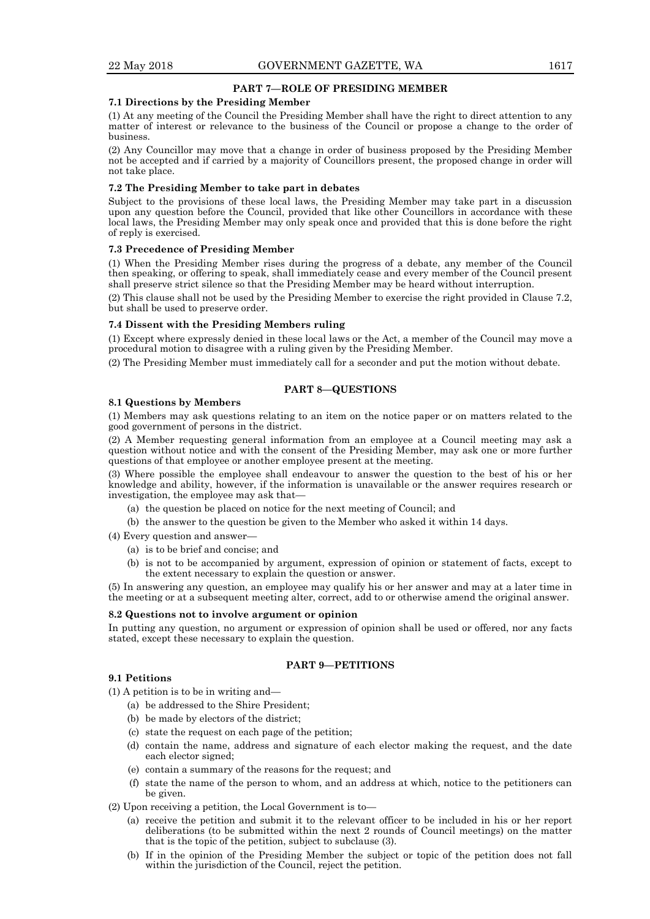# **PART 7—ROLE OF PRESIDING MEMBER**

## **7.1 Directions by the Presiding Member**

(1) At any meeting of the Council the Presiding Member shall have the right to direct attention to any matter of interest or relevance to the business of the Council or propose a change to the order of business.

(2) Any Councillor may move that a change in order of business proposed by the Presiding Member not be accepted and if carried by a majority of Councillors present, the proposed change in order will not take place.

## **7.2 The Presiding Member to take part in debates**

Subject to the provisions of these local laws, the Presiding Member may take part in a discussion upon any question before the Council, provided that like other Councillors in accordance with these local laws, the Presiding Member may only speak once and provided that this is done before the right of reply is exercised.

## **7.3 Precedence of Presiding Member**

(1) When the Presiding Member rises during the progress of a debate, any member of the Council then speaking, or offering to speak, shall immediately cease and every member of the Council present shall preserve strict silence so that the Presiding Member may be heard without interruption.

(2) This clause shall not be used by the Presiding Member to exercise the right provided in Clause 7.2, but shall be used to preserve order.

## **7.4 Dissent with the Presiding Members ruling**

(1) Except where expressly denied in these local laws or the Act, a member of the Council may move a procedural motion to disagree with a ruling given by the Presiding Member.

(2) The Presiding Member must immediately call for a seconder and put the motion without debate.

# **PART 8—QUESTIONS**

## **8.1 Questions by Members**

(1) Members may ask questions relating to an item on the notice paper or on matters related to the good government of persons in the district.

(2) A Member requesting general information from an employee at a Council meeting may ask a question without notice and with the consent of the Presiding Member, may ask one or more further questions of that employee or another employee present at the meeting.

(3) Where possible the employee shall endeavour to answer the question to the best of his or her knowledge and ability, however, if the information is unavailable or the answer requires research or investigation, the employee may ask that—

- (a) the question be placed on notice for the next meeting of Council; and
- (b) the answer to the question be given to the Member who asked it within 14 days.

(4) Every question and answer—

- (a) is to be brief and concise; and
- (b) is not to be accompanied by argument, expression of opinion or statement of facts, except to the extent necessary to explain the question or answer.

(5) In answering any question, an employee may qualify his or her answer and may at a later time in the meeting or at a subsequent meeting alter, correct, add to or otherwise amend the original answer.

## **8.2 Questions not to involve argument or opinion**

In putting any question, no argument or expression of opinion shall be used or offered, nor any facts stated, except these necessary to explain the question.

# **PART 9—PETITIONS**

# **9.1 Petitions**

- (1) A petition is to be in writing and—
	- (a) be addressed to the Shire President;
	- (b) be made by electors of the district;
	- (c) state the request on each page of the petition;
	- (d) contain the name, address and signature of each elector making the request, and the date each elector signed;
	- (e) contain a summary of the reasons for the request; and
	- (f) state the name of the person to whom, and an address at which, notice to the petitioners can be given.
- (2) Upon receiving a petition, the Local Government is to—
	- (a) receive the petition and submit it to the relevant officer to be included in his or her report deliberations (to be submitted within the next 2 rounds of Council meetings) on the matter that is the topic of the petition, subject to subclause (3).
	- (b) If in the opinion of the Presiding Member the subject or topic of the petition does not fall within the jurisdiction of the Council, reject the petition.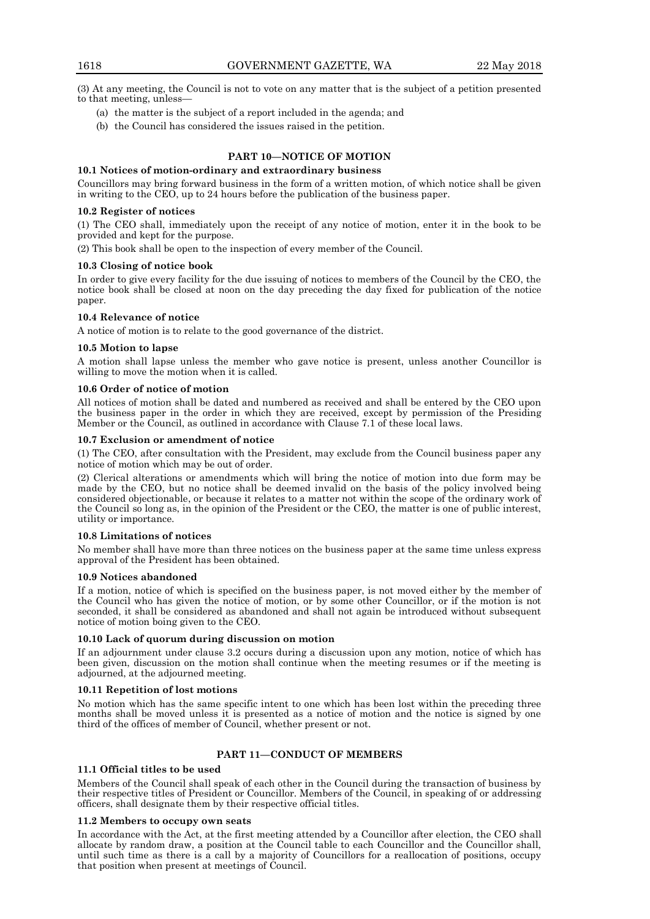(3) At any meeting, the Council is not to vote on any matter that is the subject of a petition presented to that meeting, unless—

- (a) the matter is the subject of a report included in the agenda; and
- (b) the Council has considered the issues raised in the petition.

# **PART 10—NOTICE OF MOTION**

# **10.1 Notices of motion-ordinary and extraordinary business**

Councillors may bring forward business in the form of a written motion, of which notice shall be given in writing to the CEO, up to 24 hours before the publication of the business paper.

## **10.2 Register of notices**

(1) The CEO shall, immediately upon the receipt of any notice of motion, enter it in the book to be provided and kept for the purpose.

(2) This book shall be open to the inspection of every member of the Council.

## **10.3 Closing of notice book**

In order to give every facility for the due issuing of notices to members of the Council by the CEO, the notice book shall be closed at noon on the day preceding the day fixed for publication of the notice paper.

# **10.4 Relevance of notice**

A notice of motion is to relate to the good governance of the district.

# **10.5 Motion to lapse**

A motion shall lapse unless the member who gave notice is present, unless another Councillor is willing to move the motion when it is called.

# **10.6 Order of notice of motion**

All notices of motion shall be dated and numbered as received and shall be entered by the CEO upon the business paper in the order in which they are received, except by permission of the Presiding Member or the Council, as outlined in accordance with Clause 7.1 of these local laws.

# **10.7 Exclusion or amendment of notice**

(1) The CEO, after consultation with the President, may exclude from the Council business paper any notice of motion which may be out of order.

(2) Clerical alterations or amendments which will bring the notice of motion into due form may be made by the CEO, but no notice shall be deemed invalid on the basis of the policy involved being considered objectionable, or because it relates to a matter not within the scope of the ordinary work of the Council so long as, in the opinion of the President or the CEO, the matter is one of public interest, utility or importance.

## **10.8 Limitations of notices**

No member shall have more than three notices on the business paper at the same time unless express approval of the President has been obtained.

## **10.9 Notices abandoned**

If a motion, notice of which is specified on the business paper, is not moved either by the member of the Council who has given the notice of motion, or by some other Councillor, or if the motion is not seconded, it shall be considered as abandoned and shall not again be introduced without subsequent notice of motion boing given to the CEO.

# **10.10 Lack of quorum during discussion on motion**

If an adjournment under clause 3.2 occurs during a discussion upon any motion, notice of which has been given, discussion on the motion shall continue when the meeting resumes or if the meeting is adjourned, at the adjourned meeting.

## **10.11 Repetition of lost motions**

No motion which has the same specific intent to one which has been lost within the preceding three months shall be moved unless it is presented as a notice of motion and the notice is signed by one third of the offices of member of Council, whether present or not.

# **PART 11—CONDUCT OF MEMBERS**

# **11.1 Official titles to be used**

Members of the Council shall speak of each other in the Council during the transaction of business by their respective titles of President or Councillor. Members of the Council, in speaking of or addressing officers, shall designate them by their respective official titles.

## **11.2 Members to occupy own seats**

In accordance with the Act, at the first meeting attended by a Councillor after election, the CEO shall allocate by random draw, a position at the Council table to each Councillor and the Councillor shall, until such time as there is a call by a majority of Councillors for a reallocation of positions, occupy that position when present at meetings of Council.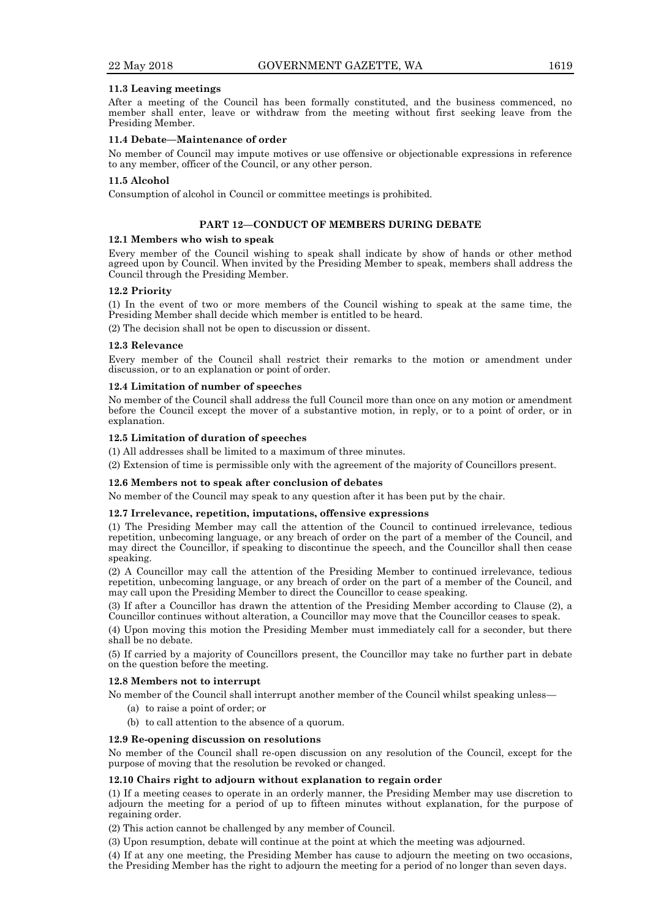## **11.3 Leaving meetings**

After a meeting of the Council has been formally constituted, and the business commenced, no member shall enter, leave or withdraw from the meeting without first seeking leave from the Presiding Member.

## **11.4 Debate—Maintenance of order**

No member of Council may impute motives or use offensive or objectionable expressions in reference to any member, officer of the Council, or any other person.

## **11.5 Alcohol**

Consumption of alcohol in Council or committee meetings is prohibited.

# **PART 12—CONDUCT OF MEMBERS DURING DEBATE**

### **12.1 Members who wish to speak**

Every member of the Council wishing to speak shall indicate by show of hands or other method agreed upon by Council. When invited by the Presiding Member to speak, members shall address the Council through the Presiding Member.

## **12.2 Priority**

(1) In the event of two or more members of the Council wishing to speak at the same time, the Presiding Member shall decide which member is entitled to be heard.

(2) The decision shall not be open to discussion or dissent.

## **12.3 Relevance**

Every member of the Council shall restrict their remarks to the motion or amendment under discussion, or to an explanation or point of order.

## **12.4 Limitation of number of speeches**

No member of the Council shall address the full Council more than once on any motion or amendment before the Council except the mover of a substantive motion, in reply, or to a point of order, or in explanation.

# **12.5 Limitation of duration of speeches**

(1) All addresses shall be limited to a maximum of three minutes.

(2) Extension of time is permissible only with the agreement of the majority of Councillors present.

### **12.6 Members not to speak after conclusion of debates**

No member of the Council may speak to any question after it has been put by the chair.

#### **12.7 Irrelevance, repetition, imputations, offensive expressions**

(1) The Presiding Member may call the attention of the Council to continued irrelevance, tedious repetition, unbecoming language, or any breach of order on the part of a member of the Council, and may direct the Councillor, if speaking to discontinue the speech, and the Councillor shall then cease speaking.

(2) A Councillor may call the attention of the Presiding Member to continued irrelevance, tedious repetition, unbecoming language, or any breach of order on the part of a member of the Council, and may call upon the Presiding Member to direct the Councillor to cease speaking.

(3) If after a Councillor has drawn the attention of the Presiding Member according to Clause (2), a Councillor continues without alteration, a Councillor may move that the Councillor ceases to speak.

(4) Upon moving this motion the Presiding Member must immediately call for a seconder, but there shall be no debate.

(5) If carried by a majority of Councillors present, the Councillor may take no further part in debate on the question before the meeting.

#### **12.8 Members not to interrupt**

No member of the Council shall interrupt another member of the Council whilst speaking unless—

- (a) to raise a point of order; or
- (b) to call attention to the absence of a quorum.

#### **12.9 Re-opening discussion on resolutions**

No member of the Council shall re-open discussion on any resolution of the Council, except for the purpose of moving that the resolution be revoked or changed.

## **12.10 Chairs right to adjourn without explanation to regain order**

(1) If a meeting ceases to operate in an orderly manner, the Presiding Member may use discretion to adjourn the meeting for a period of up to fifteen minutes without explanation, for the purpose of regaining order.

(2) This action cannot be challenged by any member of Council.

(3) Upon resumption, debate will continue at the point at which the meeting was adjourned.

(4) If at any one meeting, the Presiding Member has cause to adjourn the meeting on two occasions, the Presiding Member has the right to adjourn the meeting for a period of no longer than seven days.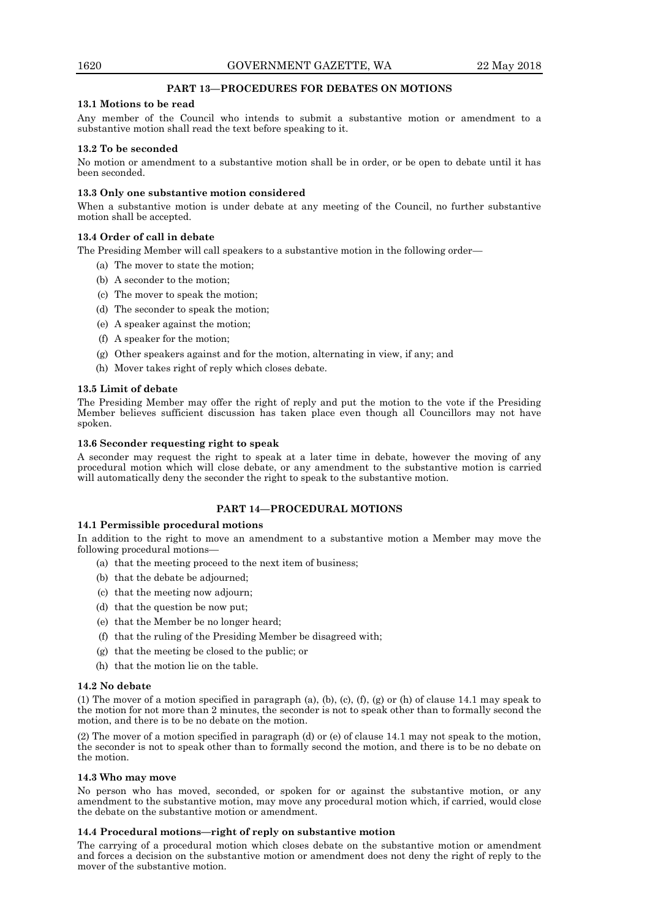# **PART 13—PROCEDURES FOR DEBATES ON MOTIONS**

# **13.1 Motions to be read**

Any member of the Council who intends to submit a substantive motion or amendment to a substantive motion shall read the text before speaking to it.

# **13.2 To be seconded**

No motion or amendment to a substantive motion shall be in order, or be open to debate until it has been seconded.

# **13.3 Only one substantive motion considered**

When a substantive motion is under debate at any meeting of the Council, no further substantive motion shall be accepted.

# **13.4 Order of call in debate**

The Presiding Member will call speakers to a substantive motion in the following order—

- (a) The mover to state the motion;
- (b) A seconder to the motion;
- (c) The mover to speak the motion;
- (d) The seconder to speak the motion;
- (e) A speaker against the motion;
- (f) A speaker for the motion;
- (g) Other speakers against and for the motion, alternating in view, if any; and
- (h) Mover takes right of reply which closes debate.

# **13.5 Limit of debate**

The Presiding Member may offer the right of reply and put the motion to the vote if the Presiding Member believes sufficient discussion has taken place even though all Councillors may not have spoken.

# **13.6 Seconder requesting right to speak**

A seconder may request the right to speak at a later time in debate, however the moving of any procedural motion which will close debate, or any amendment to the substantive motion is carried will automatically deny the seconder the right to speak to the substantive motion.

# **PART 14—PROCEDURAL MOTIONS**

## **14.1 Permissible procedural motions**

In addition to the right to move an amendment to a substantive motion a Member may move the following procedural motions—

- (a) that the meeting proceed to the next item of business;
- (b) that the debate be adjourned;
- (c) that the meeting now adjourn;
- (d) that the question be now put;
- (e) that the Member be no longer heard;
- (f) that the ruling of the Presiding Member be disagreed with;
- (g) that the meeting be closed to the public; or
- (h) that the motion lie on the table.

## **14.2 No debate**

(1) The mover of a motion specified in paragraph (a), (b), (c), (f), (g) or (h) of clause 14.1 may speak to the motion for not more than 2 minutes, the seconder is not to speak other than to formally second the motion, and there is to be no debate on the motion.

(2) The mover of a motion specified in paragraph (d) or (e) of clause 14.1 may not speak to the motion, the seconder is not to speak other than to formally second the motion, and there is to be no debate on the motion.

# **14.3 Who may move**

No person who has moved, seconded, or spoken for or against the substantive motion, or any amendment to the substantive motion, may move any procedural motion which, if carried, would close the debate on the substantive motion or amendment.

# **14.4 Procedural motions—right of reply on substantive motion**

The carrying of a procedural motion which closes debate on the substantive motion or amendment and forces a decision on the substantive motion or amendment does not deny the right of reply to the mover of the substantive motion.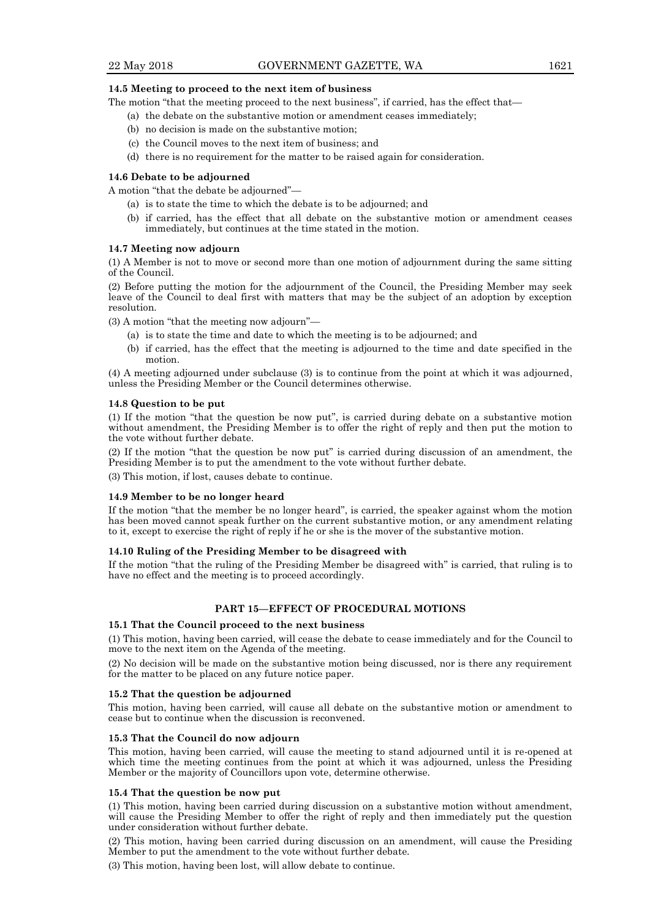# **14.5 Meeting to proceed to the next item of business**

The motion "that the meeting proceed to the next business", if carried, has the effect that—

- (a) the debate on the substantive motion or amendment ceases immediately;
- (b) no decision is made on the substantive motion;
- (c) the Council moves to the next item of business; and
- (d) there is no requirement for the matter to be raised again for consideration.

## **14.6 Debate to be adjourned**

A motion "that the debate be adjourned"—

- (a) is to state the time to which the debate is to be adjourned; and
- (b) if carried, has the effect that all debate on the substantive motion or amendment ceases immediately, but continues at the time stated in the motion.

# **14.7 Meeting now adjourn**

(1) A Member is not to move or second more than one motion of adjournment during the same sitting of the Council.

(2) Before putting the motion for the adjournment of the Council, the Presiding Member may seek leave of the Council to deal first with matters that may be the subject of an adoption by exception resolution.

(3) A motion "that the meeting now adjourn"—

- (a) is to state the time and date to which the meeting is to be adjourned; and
- (b) if carried, has the effect that the meeting is adjourned to the time and date specified in the motion.

(4) A meeting adjourned under subclause (3) is to continue from the point at which it was adjourned, unless the Presiding Member or the Council determines otherwise.

# **14.8 Question to be put**

(1) If the motion "that the question be now put", is carried during debate on a substantive motion without amendment, the Presiding Member is to offer the right of reply and then put the motion to the vote without further debate.

(2) If the motion "that the question be now put" is carried during discussion of an amendment, the Presiding Member is to put the amendment to the vote without further debate.

(3) This motion, if lost, causes debate to continue.

## **14.9 Member to be no longer heard**

If the motion "that the member be no longer heard", is carried, the speaker against whom the motion has been moved cannot speak further on the current substantive motion, or any amendment relating to it, except to exercise the right of reply if he or she is the mover of the substantive motion.

# **14.10 Ruling of the Presiding Member to be disagreed with**

If the motion "that the ruling of the Presiding Member be disagreed with" is carried, that ruling is to have no effect and the meeting is to proceed accordingly.

# **PART 15—EFFECT OF PROCEDURAL MOTIONS**

# **15.1 That the Council proceed to the next business**

(1) This motion, having been carried, will cease the debate to cease immediately and for the Council to move to the next item on the Agenda of the meeting.

(2) No decision will be made on the substantive motion being discussed, nor is there any requirement for the matter to be placed on any future notice paper.

## **15.2 That the question be adjourned**

This motion, having been carried, will cause all debate on the substantive motion or amendment to cease but to continue when the discussion is reconvened.

# **15.3 That the Council do now adjourn**

This motion, having been carried, will cause the meeting to stand adjourned until it is re-opened at which time the meeting continues from the point at which it was adjourned, unless the Presiding Member or the majority of Councillors upon vote, determine otherwise.

# **15.4 That the question be now put**

(1) This motion, having been carried during discussion on a substantive motion without amendment, will cause the Presiding Member to offer the right of reply and then immediately put the question under consideration without further debate.

(2) This motion, having been carried during discussion on an amendment, will cause the Presiding Member to put the amendment to the vote without further debate.

(3) This motion, having been lost, will allow debate to continue.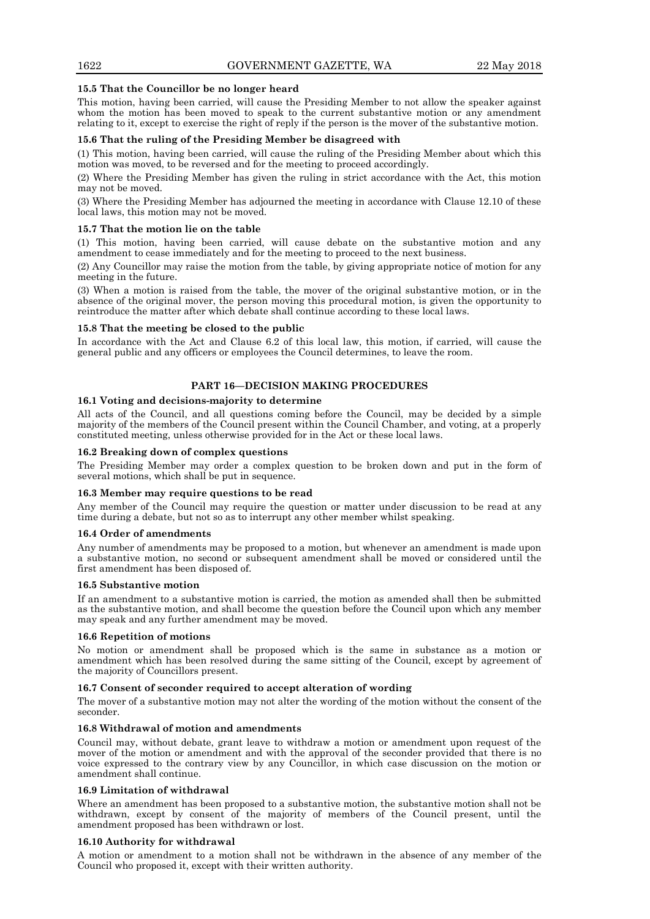# **15.5 That the Councillor be no longer heard**

This motion, having been carried, will cause the Presiding Member to not allow the speaker against whom the motion has been moved to speak to the current substantive motion or any amendment relating to it, except to exercise the right of reply if the person is the mover of the substantive motion.

# **15.6 That the ruling of the Presiding Member be disagreed with**

(1) This motion, having been carried, will cause the ruling of the Presiding Member about which this motion was moved, to be reversed and for the meeting to proceed accordingly.

(2) Where the Presiding Member has given the ruling in strict accordance with the Act, this motion may not be moved.

(3) Where the Presiding Member has adjourned the meeting in accordance with Clause 12.10 of these local laws, this motion may not be moved.

# **15.7 That the motion lie on the table**

(1) This motion, having been carried, will cause debate on the substantive motion and any amendment to cease immediately and for the meeting to proceed to the next business.

(2) Any Councillor may raise the motion from the table, by giving appropriate notice of motion for any meeting in the future.

(3) When a motion is raised from the table, the mover of the original substantive motion, or in the absence of the original mover, the person moving this procedural motion, is given the opportunity to reintroduce the matter after which debate shall continue according to these local laws.

# **15.8 That the meeting be closed to the public**

In accordance with the Act and Clause 6.2 of this local law, this motion, if carried, will cause the general public and any officers or employees the Council determines, to leave the room.

# **PART 16—DECISION MAKING PROCEDURES**

# **16.1 Voting and decisions-majority to determine**

All acts of the Council, and all questions coming before the Council, may be decided by a simple majority of the members of the Council present within the Council Chamber, and voting, at a properly constituted meeting, unless otherwise provided for in the Act or these local laws.

# **16.2 Breaking down of complex questions**

The Presiding Member may order a complex question to be broken down and put in the form of several motions, which shall be put in sequence.

# **16.3 Member may require questions to be read**

Any member of the Council may require the question or matter under discussion to be read at any time during a debate, but not so as to interrupt any other member whilst speaking.

# **16.4 Order of amendments**

Any number of amendments may be proposed to a motion, but whenever an amendment is made upon a substantive motion, no second or subsequent amendment shall be moved or considered until the first amendment has been disposed of.

# **16.5 Substantive motion**

If an amendment to a substantive motion is carried, the motion as amended shall then be submitted as the substantive motion, and shall become the question before the Council upon which any member may speak and any further amendment may be moved.

# **16.6 Repetition of motions**

No motion or amendment shall be proposed which is the same in substance as a motion or amendment which has been resolved during the same sitting of the Council, except by agreement of the majority of Councillors present.

# **16.7 Consent of seconder required to accept alteration of wording**

The mover of a substantive motion may not alter the wording of the motion without the consent of the seconder.

# **16.8 Withdrawal of motion and amendments**

Council may, without debate, grant leave to withdraw a motion or amendment upon request of the mover of the motion or amendment and with the approval of the seconder provided that there is no voice expressed to the contrary view by any Councillor, in which case discussion on the motion or amendment shall continue.

# **16.9 Limitation of withdrawal**

Where an amendment has been proposed to a substantive motion, the substantive motion shall not be withdrawn, except by consent of the majority of members of the Council present, until the amendment proposed has been withdrawn or lost.

# **16.10 Authority for withdrawal**

A motion or amendment to a motion shall not be withdrawn in the absence of any member of the Council who proposed it, except with their written authority.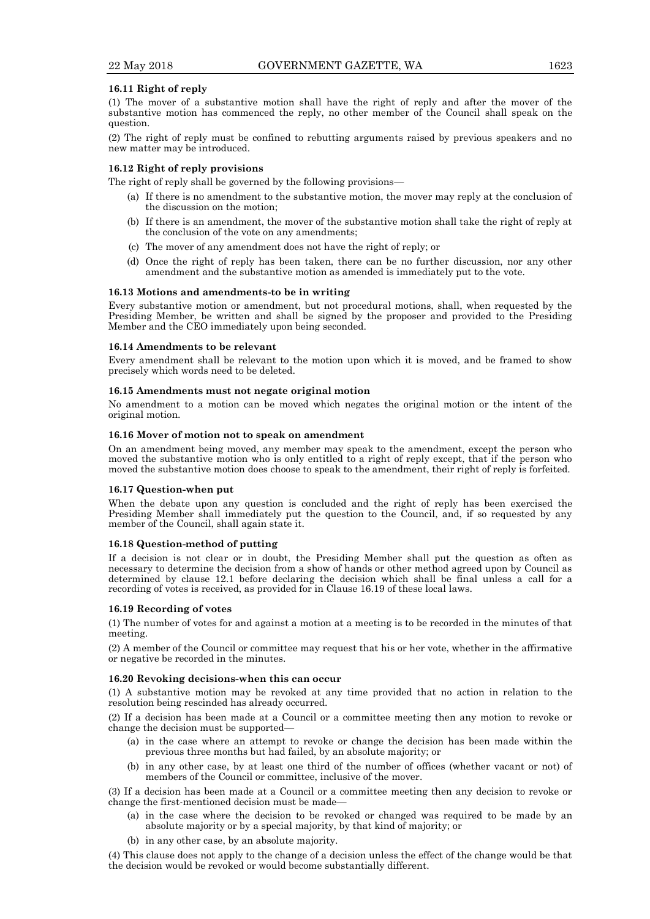## **16.11 Right of reply**

(1) The mover of a substantive motion shall have the right of reply and after the mover of the substantive motion has commenced the reply, no other member of the Council shall speak on the question.

(2) The right of reply must be confined to rebutting arguments raised by previous speakers and no new matter may be introduced.

## **16.12 Right of reply provisions**

The right of reply shall be governed by the following provisions—

- (a) If there is no amendment to the substantive motion, the mover may reply at the conclusion of the discussion on the motion;
- (b) If there is an amendment, the mover of the substantive motion shall take the right of reply at the conclusion of the vote on any amendments;
- (c) The mover of any amendment does not have the right of reply; or
- (d) Once the right of reply has been taken, there can be no further discussion, nor any other amendment and the substantive motion as amended is immediately put to the vote.

## **16.13 Motions and amendments-to be in writing**

Every substantive motion or amendment, but not procedural motions, shall, when requested by the Presiding Member, be written and shall be signed by the proposer and provided to the Presiding Member and the CEO immediately upon being seconded.

# **16.14 Amendments to be relevant**

Every amendment shall be relevant to the motion upon which it is moved, and be framed to show precisely which words need to be deleted.

## **16.15 Amendments must not negate original motion**

No amendment to a motion can be moved which negates the original motion or the intent of the original motion.

## **16.16 Mover of motion not to speak on amendment**

On an amendment being moved, any member may speak to the amendment, except the person who moved the substantive motion who is only entitled to a right of reply except, that if the person who moved the substantive motion does choose to speak to the amendment, their right of reply is forfeited.

## **16.17 Question-when put**

When the debate upon any question is concluded and the right of reply has been exercised the Presiding Member shall immediately put the question to the Council, and, if so requested by any member of the Council, shall again state it.

## **16.18 Question-method of putting**

If a decision is not clear or in doubt, the Presiding Member shall put the question as often as necessary to determine the decision from a show of hands or other method agreed upon by Council as determined by clause 12.1 before declaring the decision which shall be final unless a call for a recording of votes is received, as provided for in Clause 16.19 of these local laws.

#### **16.19 Recording of votes**

(1) The number of votes for and against a motion at a meeting is to be recorded in the minutes of that meeting.

(2) A member of the Council or committee may request that his or her vote, whether in the affirmative or negative be recorded in the minutes.

#### **16.20 Revoking decisions-when this can occur**

(1) A substantive motion may be revoked at any time provided that no action in relation to the resolution being rescinded has already occurred.

(2) If a decision has been made at a Council or a committee meeting then any motion to revoke or change the decision must be supported—

- (a) in the case where an attempt to revoke or change the decision has been made within the previous three months but had failed, by an absolute majority; or
- (b) in any other case, by at least one third of the number of offices (whether vacant or not) of members of the Council or committee, inclusive of the mover.

(3) If a decision has been made at a Council or a committee meeting then any decision to revoke or change the first-mentioned decision must be made—

- (a) in the case where the decision to be revoked or changed was required to be made by an absolute majority or by a special majority, by that kind of majority; or
- (b) in any other case, by an absolute majority.

(4) This clause does not apply to the change of a decision unless the effect of the change would be that the decision would be revoked or would become substantially different.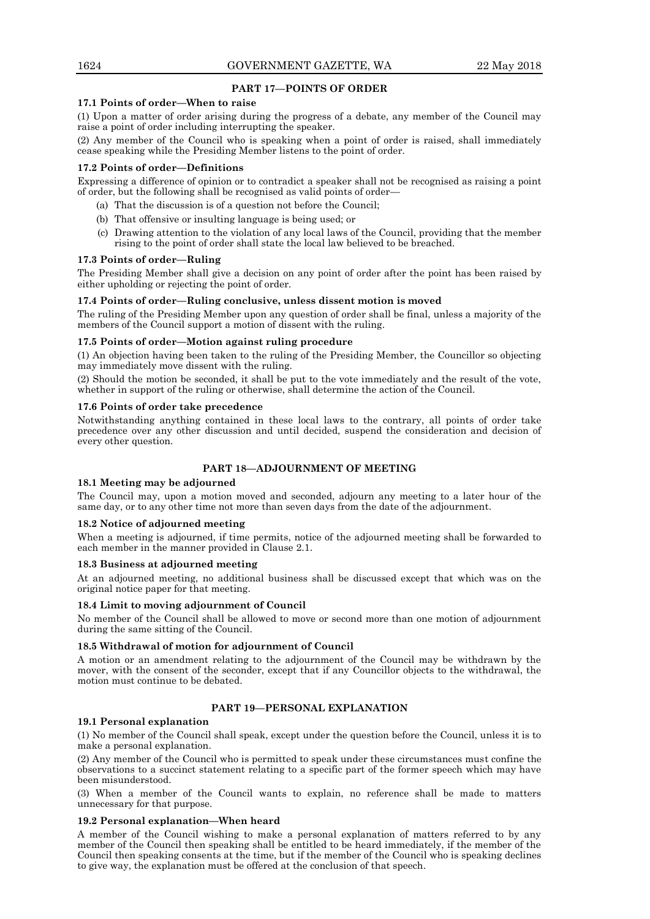# **PART 17—POINTS OF ORDER**

# **17.1 Points of order—When to raise**

(1) Upon a matter of order arising during the progress of a debate, any member of the Council may raise a point of order including interrupting the speaker.

(2) Any member of the Council who is speaking when a point of order is raised, shall immediately cease speaking while the Presiding Member listens to the point of order.

## **17.2 Points of order—Definitions**

Expressing a difference of opinion or to contradict a speaker shall not be recognised as raising a point of order, but the following shall be recognised as valid points of order—

- (a) That the discussion is of a question not before the Council;
- (b) That offensive or insulting language is being used; or
- (c) Drawing attention to the violation of any local laws of the Council, providing that the member rising to the point of order shall state the local law believed to be breached.

## **17.3 Points of order—Ruling**

The Presiding Member shall give a decision on any point of order after the point has been raised by either upholding or rejecting the point of order.

## **17.4 Points of order—Ruling conclusive, unless dissent motion is moved**

The ruling of the Presiding Member upon any question of order shall be final, unless a majority of the members of the Council support a motion of dissent with the ruling.

## **17.5 Points of order—Motion against ruling procedure**

(1) An objection having been taken to the ruling of the Presiding Member, the Councillor so objecting may immediately move dissent with the ruling.

(2) Should the motion be seconded, it shall be put to the vote immediately and the result of the vote, whether in support of the ruling or otherwise, shall determine the action of the Council.

## **17.6 Points of order take precedence**

Notwithstanding anything contained in these local laws to the contrary, all points of order take precedence over any other discussion and until decided, suspend the consideration and decision of every other question.

# **PART 18—ADJOURNMENT OF MEETING**

## **18.1 Meeting may be adjourned**

The Council may, upon a motion moved and seconded, adjourn any meeting to a later hour of the same day, or to any other time not more than seven days from the date of the adjournment.

## **18.2 Notice of adjourned meeting**

When a meeting is adjourned, if time permits, notice of the adjourned meeting shall be forwarded to each member in the manner provided in Clause 2.1.

## **18.3 Business at adjourned meeting**

At an adjourned meeting, no additional business shall be discussed except that which was on the original notice paper for that meeting.

## **18.4 Limit to moving adjournment of Council**

No member of the Council shall be allowed to move or second more than one motion of adjournment during the same sitting of the Council.

## **18.5 Withdrawal of motion for adjournment of Council**

A motion or an amendment relating to the adjournment of the Council may be withdrawn by the mover, with the consent of the seconder, except that if any Councillor objects to the withdrawal, the motion must continue to be debated.

# **PART 19—PERSONAL EXPLANATION**

## **19.1 Personal explanation**

(1) No member of the Council shall speak, except under the question before the Council, unless it is to make a personal explanation.

(2) Any member of the Council who is permitted to speak under these circumstances must confine the observations to a succinct statement relating to a specific part of the former speech which may have been misunderstood.

(3) When a member of the Council wants to explain, no reference shall be made to matters unnecessary for that purpose.

# **19.2 Personal explanation—When heard**

A member of the Council wishing to make a personal explanation of matters referred to by any member of the Council then speaking shall be entitled to be heard immediately, if the member of the Council then speaking consents at the time, but if the member of the Council who is speaking declines to give way, the explanation must be offered at the conclusion of that speech.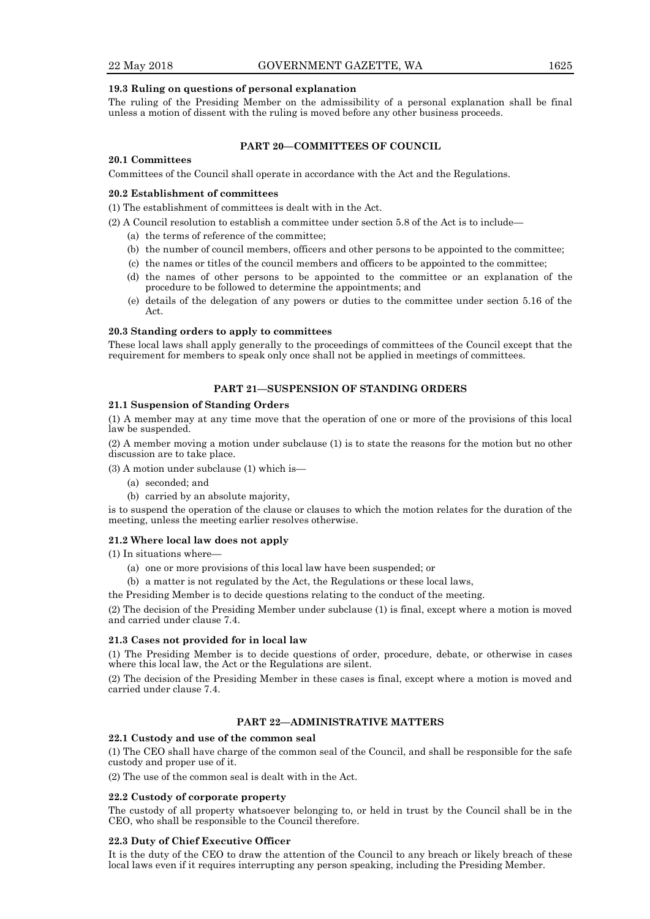# **19.3 Ruling on questions of personal explanation**

The ruling of the Presiding Member on the admissibility of a personal explanation shall be final unless a motion of dissent with the ruling is moved before any other business proceeds.

## **PART 20—COMMITTEES OF COUNCIL**

# **20.1 Committees**

Committees of the Council shall operate in accordance with the Act and the Regulations.

## **20.2 Establishment of committees**

(1) The establishment of committees is dealt with in the Act.

- (2) A Council resolution to establish a committee under section 5.8 of the Act is to include—
	- (a) the terms of reference of the committee;
	- (b) the number of council members, officers and other persons to be appointed to the committee;
	- (c) the names or titles of the council members and officers to be appointed to the committee;
	- (d) the names of other persons to be appointed to the committee or an explanation of the procedure to be followed to determine the appointments; and
	- (e) details of the delegation of any powers or duties to the committee under section 5.16 of the Act.

## **20.3 Standing orders to apply to committees**

These local laws shall apply generally to the proceedings of committees of the Council except that the requirement for members to speak only once shall not be applied in meetings of committees.

# **PART 21—SUSPENSION OF STANDING ORDERS**

## **21.1 Suspension of Standing Orders**

(1) A member may at any time move that the operation of one or more of the provisions of this local law be suspended.

(2) A member moving a motion under subclause (1) is to state the reasons for the motion but no other discussion are to take place.

(3) A motion under subclause (1) which is—

- (a) seconded; and
- (b) carried by an absolute majority,

is to suspend the operation of the clause or clauses to which the motion relates for the duration of the meeting, unless the meeting earlier resolves otherwise.

## **21.2 Where local law does not apply**

(1) In situations where—

- (a) one or more provisions of this local law have been suspended; or
- (b) a matter is not regulated by the Act, the Regulations or these local laws,

the Presiding Member is to decide questions relating to the conduct of the meeting.

(2) The decision of the Presiding Member under subclause (1) is final, except where a motion is moved and carried under clause 7.4.

# **21.3 Cases not provided for in local law**

(1) The Presiding Member is to decide questions of order, procedure, debate, or otherwise in cases where this local law, the Act or the Regulations are silent.

(2) The decision of the Presiding Member in these cases is final, except where a motion is moved and carried under clause 7.4.

# **PART 22—ADMINISTRATIVE MATTERS**

## **22.1 Custody and use of the common seal**

(1) The CEO shall have charge of the common seal of the Council, and shall be responsible for the safe custody and proper use of it.

(2) The use of the common seal is dealt with in the Act.

# **22.2 Custody of corporate property**

The custody of all property whatsoever belonging to, or held in trust by the Council shall be in the CEO, who shall be responsible to the Council therefore.

## **22.3 Duty of Chief Executive Officer**

It is the duty of the CEO to draw the attention of the Council to any breach or likely breach of these local laws even if it requires interrupting any person speaking, including the Presiding Member.